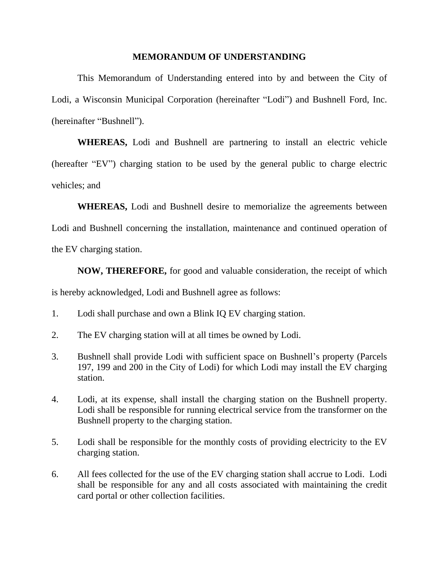## **MEMORANDUM OF UNDERSTANDING**

This Memorandum of Understanding entered into by and between the City of Lodi, a Wisconsin Municipal Corporation (hereinafter "Lodi") and Bushnell Ford, Inc. (hereinafter "Bushnell").

**WHEREAS,** Lodi and Bushnell are partnering to install an electric vehicle (hereafter "EV") charging station to be used by the general public to charge electric vehicles; and

**WHEREAS,** Lodi and Bushnell desire to memorialize the agreements between Lodi and Bushnell concerning the installation, maintenance and continued operation of the EV charging station.

**NOW, THEREFORE,** for good and valuable consideration, the receipt of which is hereby acknowledged, Lodi and Bushnell agree as follows:

- 1. Lodi shall purchase and own a Blink IQ EV charging station.
- 2. The EV charging station will at all times be owned by Lodi.
- 3. Bushnell shall provide Lodi with sufficient space on Bushnell's property (Parcels 197, 199 and 200 in the City of Lodi) for which Lodi may install the EV charging station.
- 4. Lodi, at its expense, shall install the charging station on the Bushnell property. Lodi shall be responsible for running electrical service from the transformer on the Bushnell property to the charging station.
- 5. Lodi shall be responsible for the monthly costs of providing electricity to the EV charging station.
- 6. All fees collected for the use of the EV charging station shall accrue to Lodi. Lodi shall be responsible for any and all costs associated with maintaining the credit card portal or other collection facilities.